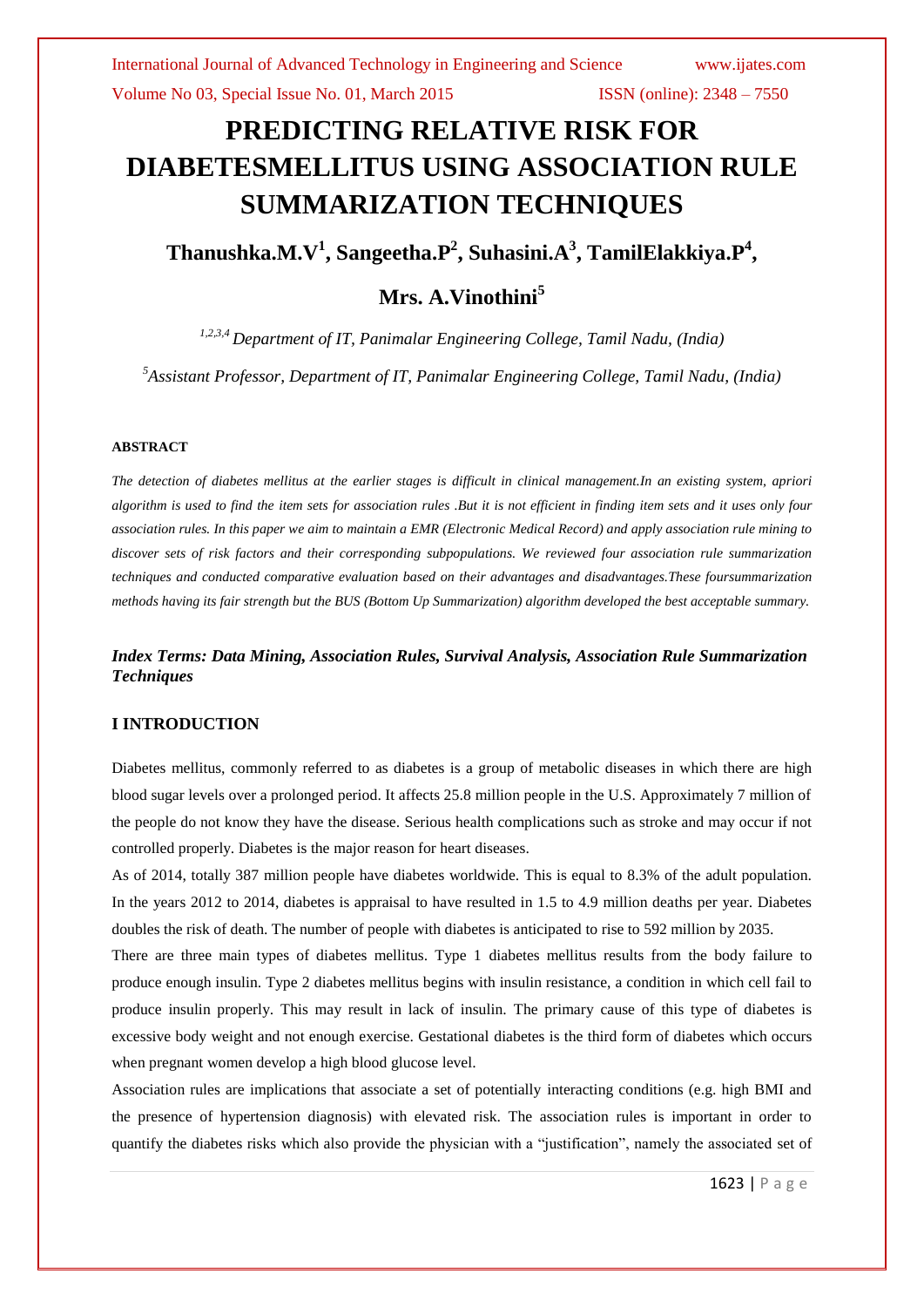# **PREDICTING RELATIVE RISK FOR DIABETESMELLITUS USING ASSOCIATION RULE SUMMARIZATION TECHNIQUES**

**Thanushka.M.V<sup>1</sup> , Sangeetha.P<sup>2</sup> , Suhasini.A<sup>3</sup> , TamilElakkiya.P<sup>4</sup> ,** 

# **Mrs. A.Vinothini<sup>5</sup>**

*1,2,3,4 Department of IT, Panimalar Engineering College, Tamil Nadu, (India)*

*<sup>5</sup>Assistant Professor, Department of IT, Panimalar Engineering College, Tamil Nadu, (India)*

#### **ABSTRACT**

*The detection of diabetes mellitus at the earlier stages is difficult in clinical management.In an existing system, apriori algorithm is used to find the item sets for association rules .But it is not efficient in finding item sets and it uses only four association rules. In this paper we aim to maintain a EMR (Electronic Medical Record) and apply association rule mining to discover sets of risk factors and their corresponding subpopulations. We reviewed four association rule summarization techniques and conducted comparative evaluation based on their advantages and disadvantages.These foursummarization methods having its fair strength but the BUS (Bottom Up Summarization) algorithm developed the best acceptable summary.*

# *Index Terms: Data Mining, Association Rules, Survival Analysis, Association Rule Summarization Techniques*

#### **I INTRODUCTION**

Diabetes mellitus, commonly referred to as diabetes is a group of metabolic diseases in which there are high blood sugar levels over a prolonged period. It affects 25.8 million people in the U.S. Approximately 7 million of the people do not know they have the disease. Serious health complications such as stroke and may occur if not controlled properly. Diabetes is the major reason for heart diseases.

As of 2014, totally 387 million people have diabetes worldwide. This is equal to 8.3% of the adult population. In the years 2012 to 2014, diabetes is appraisal to have resulted in 1.5 to 4.9 million deaths per year. Diabetes doubles the risk of death. The number of people with diabetes is anticipated to rise to 592 million by 2035.

There are three main types of diabetes mellitus. Type 1 diabetes mellitus results from the body failure to produce enough insulin. Type 2 diabetes mellitus begins with insulin resistance, a condition in which cell fail to produce insulin properly. This may result in lack of insulin. The primary cause of this type of diabetes is excessive body weight and not enough exercise. Gestational diabetes is the third form of diabetes which occurs when pregnant women develop a high blood glucose level.

Association rules are implications that associate a set of potentially interacting conditions (e.g. high BMI and the presence of hypertension diagnosis) with elevated risk. The association rules is important in order to quantify the diabetes risks which also provide the physician with a "justification", namely the associated set of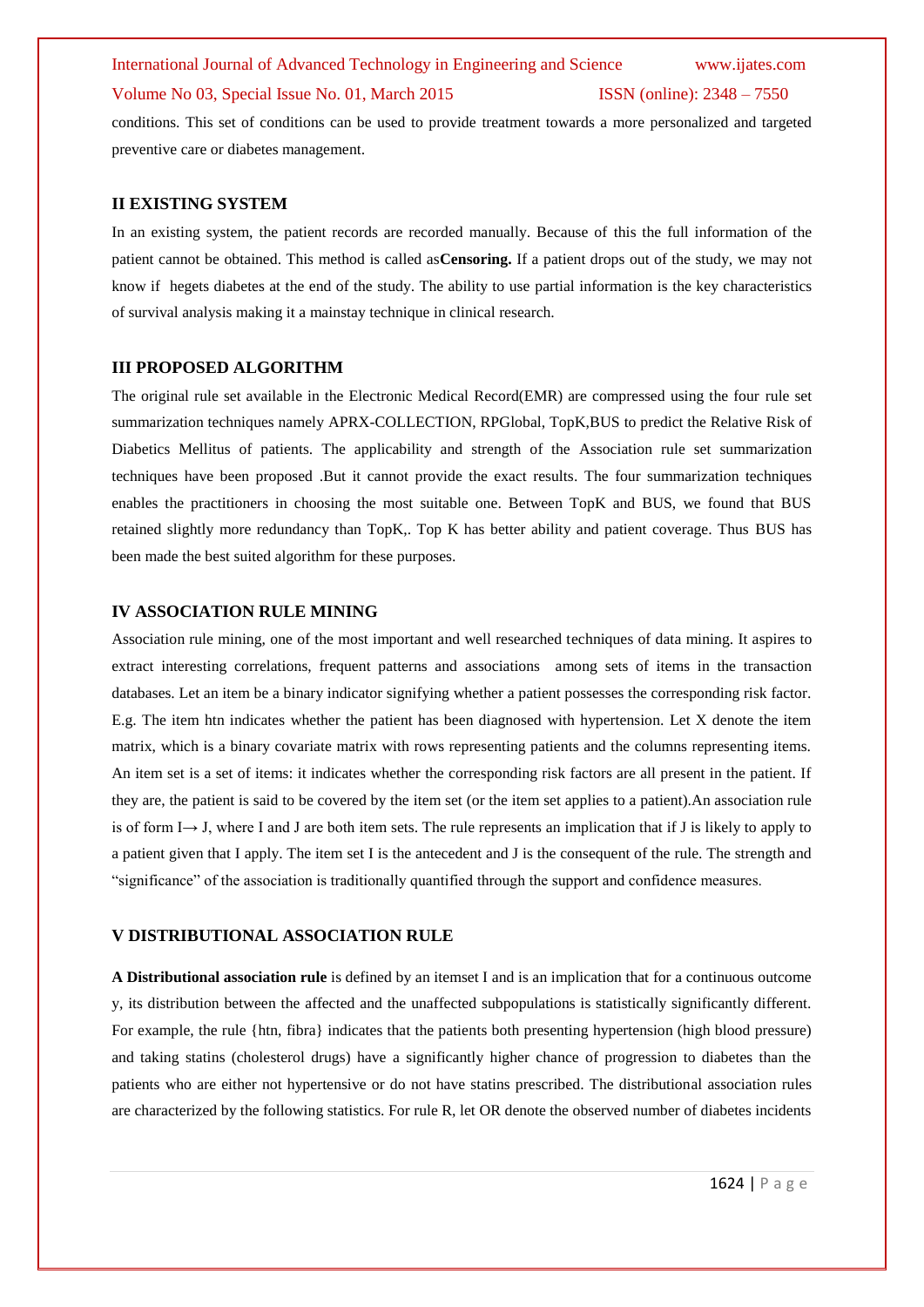# International Journal of Advanced Technology in Engineering and Science www.ijates.com Volume No 03, Special Issue No. 01, March 2015 ISSN (online): 2348 – 7550

conditions. This set of conditions can be used to provide treatment towards a more personalized and targeted preventive care or diabetes management.

#### **II EXISTING SYSTEM**

In an existing system, the patient records are recorded manually. Because of this the full information of the patient cannot be obtained. This method is called as**Censoring.** If a patient drops out of the study, we may not know if hegets diabetes at the end of the study. The ability to use partial information is the key characteristics of survival analysis making it a mainstay technique in clinical research.

#### **III PROPOSED ALGORITHM**

The original rule set available in the Electronic Medical Record(EMR) are compressed using the four rule set summarization techniques namely APRX-COLLECTION, RPGlobal, TopK,BUS to predict the Relative Risk of Diabetics Mellitus of patients. The applicability and strength of the Association rule set summarization techniques have been proposed .But it cannot provide the exact results. The four summarization techniques enables the practitioners in choosing the most suitable one. Between TopK and BUS, we found that BUS retained slightly more redundancy than TopK,. Top K has better ability and patient coverage. Thus BUS has been made the best suited algorithm for these purposes.

#### **IV ASSOCIATION RULE MINING**

Association rule mining, one of the most important and well researched techniques of data mining. It aspires to extract interesting correlations, frequent patterns and associations among sets of items in the transaction databases. Let an item be a binary indicator signifying whether a patient possesses the corresponding risk factor. E.g. The item htn indicates whether the patient has been diagnosed with hypertension. Let X denote the item matrix, which is a binary covariate matrix with rows representing patients and the columns representing items. An item set is a set of items: it indicates whether the corresponding risk factors are all present in the patient. If they are, the patient is said to be covered by the item set (or the item set applies to a patient).An association rule is of form I→ J, where I and J are both item sets. The rule represents an implication that if J is likely to apply to a patient given that I apply. The item set I is the antecedent and J is the consequent of the rule. The strength and "significance" of the association is traditionally quantified through the support and confidence measures.

#### **V DISTRIBUTIONAL ASSOCIATION RULE**

**A Distributional association rule** is defined by an itemset I and is an implication that for a continuous outcome y, its distribution between the affected and the unaffected subpopulations is statistically significantly different. For example, the rule {htn, fibra} indicates that the patients both presenting hypertension (high blood pressure) and taking statins (cholesterol drugs) have a significantly higher chance of progression to diabetes than the patients who are either not hypertensive or do not have statins prescribed. The distributional association rules are characterized by the following statistics. For rule R, let OR denote the observed number of diabetes incidents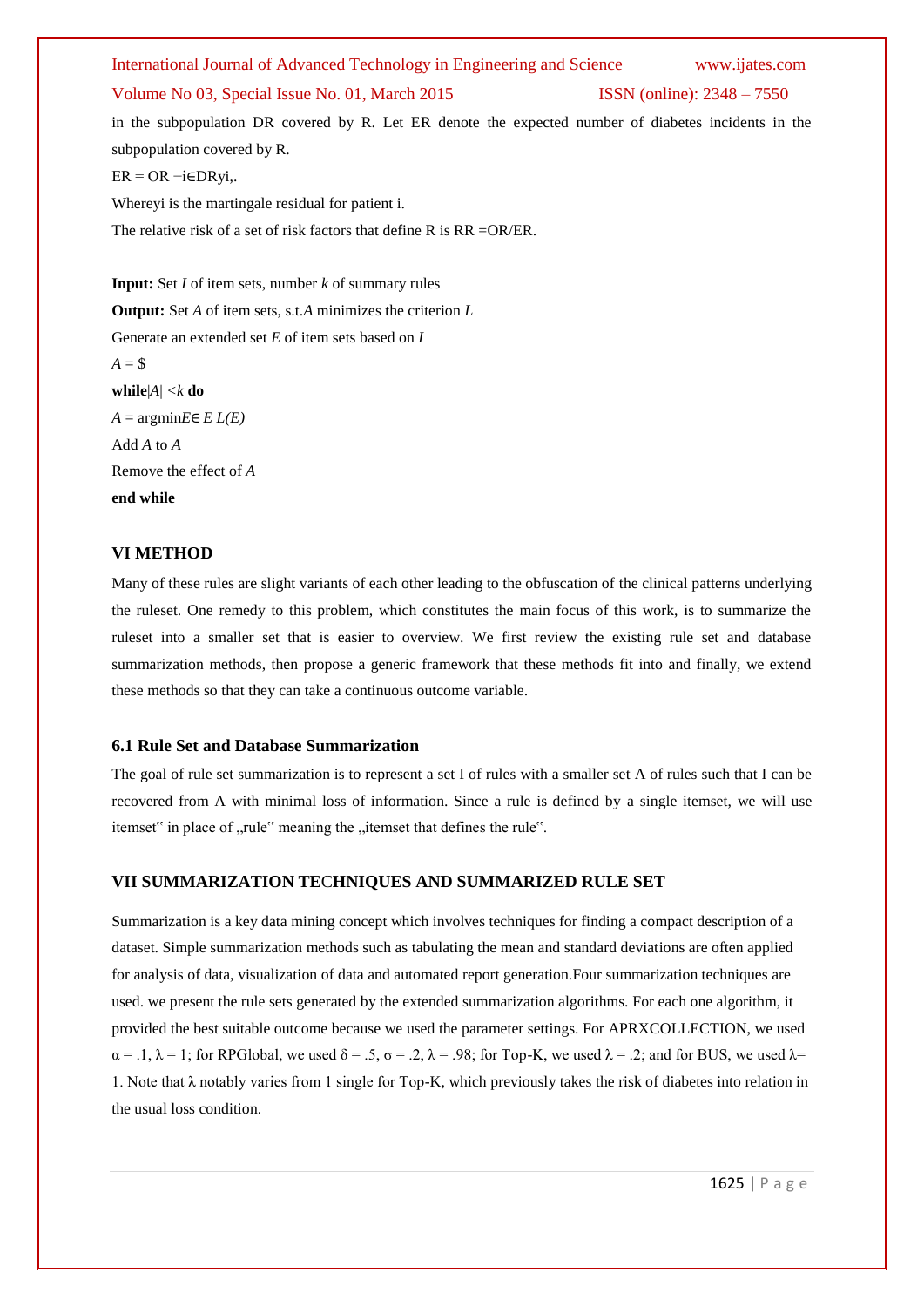#### International Journal of Advanced Technology in Engineering and Science www.ijates.com

#### Volume No 03, Special Issue No. 01, March 2015 ISSN (online): 2348 – 7550

in the subpopulation DR covered by R. Let ER denote the expected number of diabetes incidents in the subpopulation covered by R.  $ER = OR -i \in DRyi$ . Whereyi is the martingale residual for patient i.

The relative risk of a set of risk factors that define R is RR =OR/ER.

**Input:** Set *I* of item sets, number *k* of summary rules **Output:** Set *A* of item sets, s.t.*A* minimizes the criterion *L* Generate an extended set *E* of item sets based on *I*  $A = $$ **while**|*A*| *<k* **do**  $A = \text{argmin} E \in E(L(E))$ Add *A* to *A* Remove the effect of *A* **end while**

#### **VI METHOD**

Many of these rules are slight variants of each other leading to the obfuscation of the clinical patterns underlying the ruleset. One remedy to this problem, which constitutes the main focus of this work, is to summarize the ruleset into a smaller set that is easier to overview. We first review the existing rule set and database summarization methods, then propose a generic framework that these methods fit into and finally, we extend these methods so that they can take a continuous outcome variable.

#### **6.1 Rule Set and Database Summarization**

The goal of rule set summarization is to represent a set I of rules with a smaller set A of rules such that I can be recovered from A with minimal loss of information. Since a rule is defined by a single itemset, we will use itemset" in place of ..rule" meaning the ..itemset that defines the rule".

#### **VII SUMMARIZATION TE**C**HNIQUES AND SUMMARIZED RULE SET**

Summarization is a key data mining concept which involves techniques for finding a compact description of a dataset. Simple summarization methods such as tabulating the mean and standard deviations are often applied for analysis of data, visualization of data and automated report generation.Four summarization techniques are used. we present the rule sets generated by the extended summarization algorithms. For each one algorithm, it provided the best suitable outcome because we used the parameter settings. For APRXCOLLECTION, we used  $\alpha = 0.1$ ,  $\lambda = 1$ ; for RPGlobal, we used  $\delta = 0.5$ ,  $\sigma = 0.2$ ,  $\lambda = 0.98$ ; for Top-K, we used  $\lambda = 0.2$ ; and for BUS, we used  $\lambda = 0.1$ 1. Note that  $\lambda$  notably varies from 1 single for Top-K, which previously takes the risk of diabetes into relation in the usual loss condition.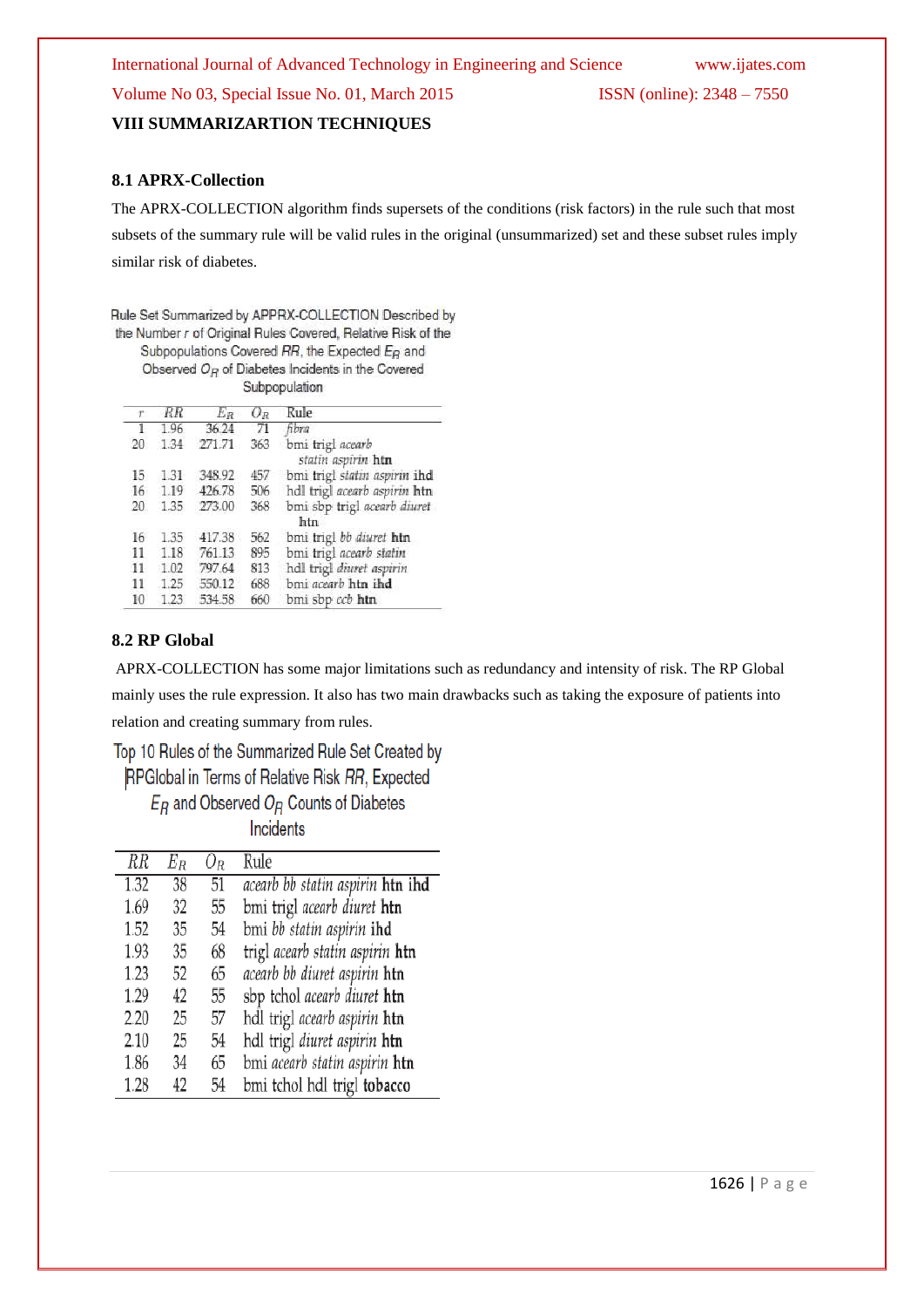International Journal of Advanced Technology in Engineering and Science www.ijates.com Volume No 03, Special Issue No. 01, March 2015 ISSN (online): 2348 – 7550 **VIII SUMMARIZARTION TECHNIQUES**

## **8.1 APRX-Collection**

The APRX-COLLECTION algorithm finds supersets of the conditions (risk factors) in the rule such that most

subsets of the summary rule will be valid rules in the original (unsummarized) set and these subset rules imply similar risk of diabetes.

Rule Set Summarized by APPRX-COLLECTION Described by the Number r of Original Rules Covered, Relative Risk of the Subpopulations Covered RR, the Expected E<sub>R</sub> and

Observed  $O_B$  of Diabetes Incidents in the Covered Subpopulation

| T.              | RR   | $E_R$  | $O_R$ | Rule                                   |
|-----------------|------|--------|-------|----------------------------------------|
| $1\,$           | 1.96 | 36.24  | 71    | fibra                                  |
| 20              | 1.34 | 271.71 | 363   | bmi trigl acearb<br>statin aspirin htn |
| 15              | 1.31 | 348.92 | 457   | bmi trigl statin aspirin ihd           |
| 16 <sup>2</sup> | 1.19 | 426.78 | 506   | hdl trigl acearb aspirin htn           |
| 20              | 1.35 | 273.00 | 368   | bmi sbp trigl acearb diuret<br>htn     |
| 16              | 1.35 | 417.38 | 562   | bmi trigl bb diuret htn                |
| 11              | 1.18 | 761.13 | 895   | bmi trigl acearb statin                |
| 11              | 1.02 | 797.64 | 813   | hdl trigl diuret aspirin               |
| 11              | 1.25 | 550.12 | 688   | bmi acearb htn ihd                     |
| 10              | 1.23 | 534.58 | 660   | bmi sbp ccb htn                        |

#### **8.2 RP Global**

APRX-COLLECTION has some major limitations such as redundancy and intensity of risk. The RP Global mainly uses the rule expression. It also has two main drawbacks such as taking the exposure of patients into relation and creating summary from rules.

Top 10 Rules of the Summarized Rule Set Created by RPGlobal in Terms of Relative Risk RR, Expected  $E_B$  and Observed  $O_B$  Counts of Diabetes

Incidents

| $\overline{RR}$ | $E_R\,$ | $O_R$ | Rule                             |
|-----------------|---------|-------|----------------------------------|
| 1.32            | 38      | 51    | acearb bb statin aspirin htn ihd |
| 1.69            | 32      | 55    | bmi trigl acearb diuret htn      |
| 1.52            | 35      | 54    | bmi bb statin aspirin ihd        |
| 1.93            | 35      | 68    | trigl acearb statin aspirin htn  |
| 1.23            | 52      | 65    | acearb bb diuret aspirin htn     |
| 1.29            | 42      | 55    | sbp tchol acearb diuret htn      |
| 2.20            | 25      | 57    | hdl trigl acearb aspirin htn     |
| 2.10            | 25      | 54    | hdl trigl diuret aspirin htn     |
| 1.86            | 34      | 65    | bmi acearb statin aspirin htn    |
| 1.28            | 42      | 54    | bmi tchol hdl trigl tobacco      |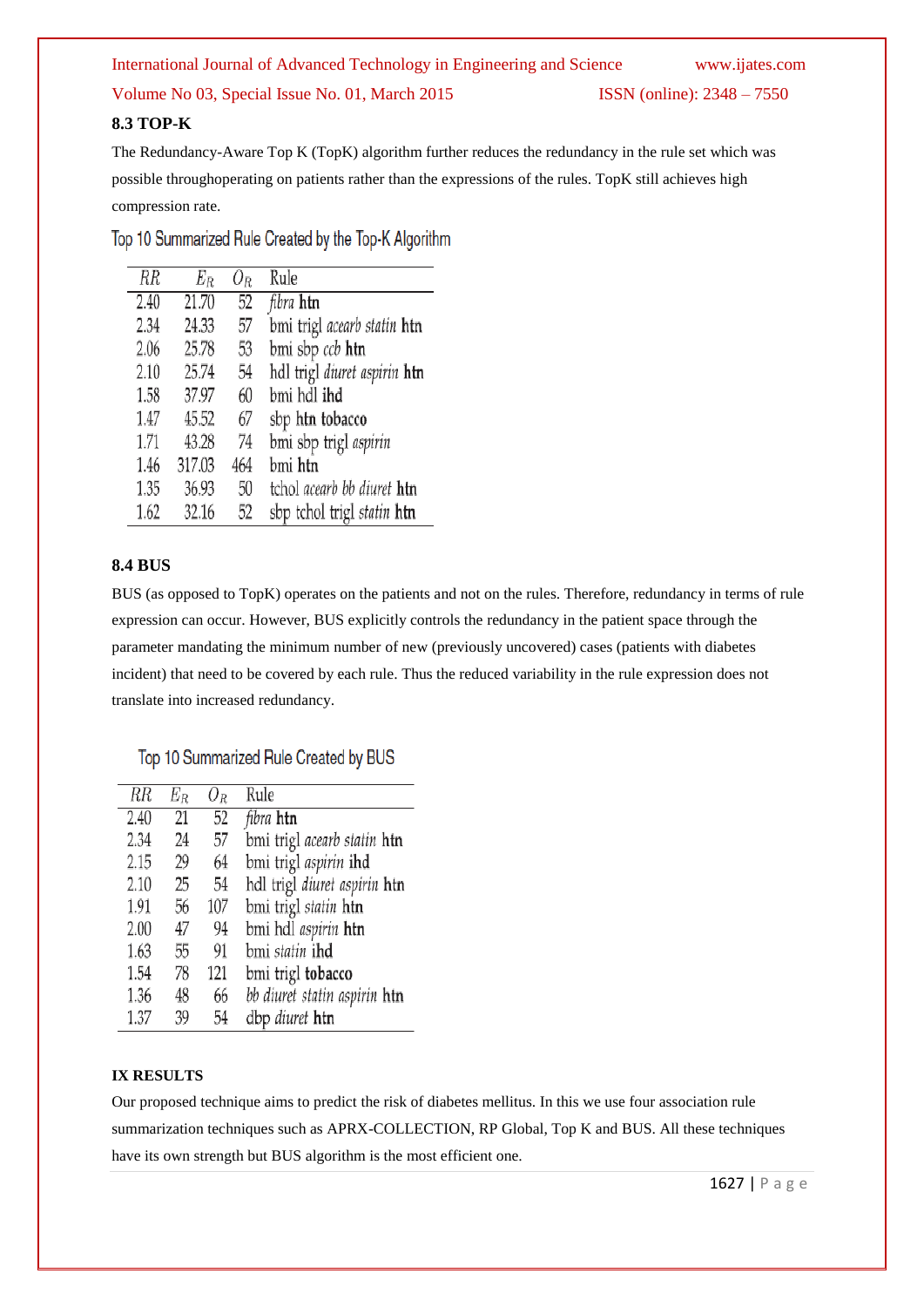# International Journal of Advanced Technology in Engineering and Science www.ijates.com

# Volume No 03, Special Issue No. 01, March 2015 ISSN (online): 2348 – 7550

# **8.3 TOP-K**

The Redundancy-Aware Top K (TopK) algorithm further reduces the redundancy in the rule set which was possible throughoperating on patients rather than the expressions of the rules. TopK still achieves high compression rate.

Top 10 Summarized Rule Created by the Top-K Algorithm

| RR   | $E_R$  | $O_R$ | Rule                                     |
|------|--------|-------|------------------------------------------|
| 2.40 | 21.70  | 52    | fibra <b>htn</b>                         |
| 2.34 | 24.33  | 57    | bmi trigl acearb statin <b>htn</b>       |
| 2.06 | 25.78  | 53    | bmi sbp ccb htn                          |
| 2.10 | 25.74  | 54    | hdl trigl <i>diuret aspirin</i> htn      |
| 1.58 | 37.97  | 60    | bmi hdl i <b>hd</b>                      |
| 1.47 | 45.52  | 67    | sbp htn tobacco                          |
| 1.71 | 43.28  | 74    | bmi sbp trigl aspirin                    |
| 1.46 | 317.03 | 464   | bmi <b>htn</b>                           |
| 1.35 | 36.93  | 50    | tchol <i>acearb bb diuret</i> <b>htn</b> |
| 1.62 | 32.16  | 52    | sbp tchol trigl statin htn               |

# **8.4 BUS**

BUS (as opposed to TopK) operates on the patients and not on the rules. Therefore, redundancy in terms of rule expression can occur. However, BUS explicitly controls the redundancy in the patient space through the parameter mandating the minimum number of new (previously uncovered) cases (patients with diabetes incident) that need to be covered by each rule. Thus the reduced variability in the rule expression does not translate into increased redundancy.

# Top 10 Summarized Rule Created by BUS

| $\overline{RR}$ | $E_R$ | 0 <sub>r</sub> | Rule                                      |
|-----------------|-------|----------------|-------------------------------------------|
| 2.40            | 21    | 52             | <i>fibra</i> htn                          |
| 2.34            | 24    | 57             | bmi trigl <i>acearb statin</i> <b>htn</b> |
| 2.15            | 29    | 64             | bmi trigl aspirin ihd                     |
| 2.10            | 25    | 54             | hdl trigl diuret aspirin htn              |
| 1.91            | 56    | 107            | bmi trigl statin htn                      |
| 2.00            | 47    | 94             | bmi hdl <i>aspirin</i> <b>htn</b>         |
| 1.63            | 55    | 91             | bmi <i>statin</i> ihd                     |
| 1.54            | 78    | 121            | bmi trigl tobacco                         |
| 1.36            | 48    | 66             | bb diuret statin aspirin <b>htn</b>       |
| 1.37            | 39    | 54             | dbp diuret htn                            |

## **IX RESULTS**

Our proposed technique aims to predict the risk of diabetes mellitus. In this we use four association rule summarization techniques such as APRX-COLLECTION, RP Global, Top K and BUS. All these techniques have its own strength but BUS algorithm is the most efficient one.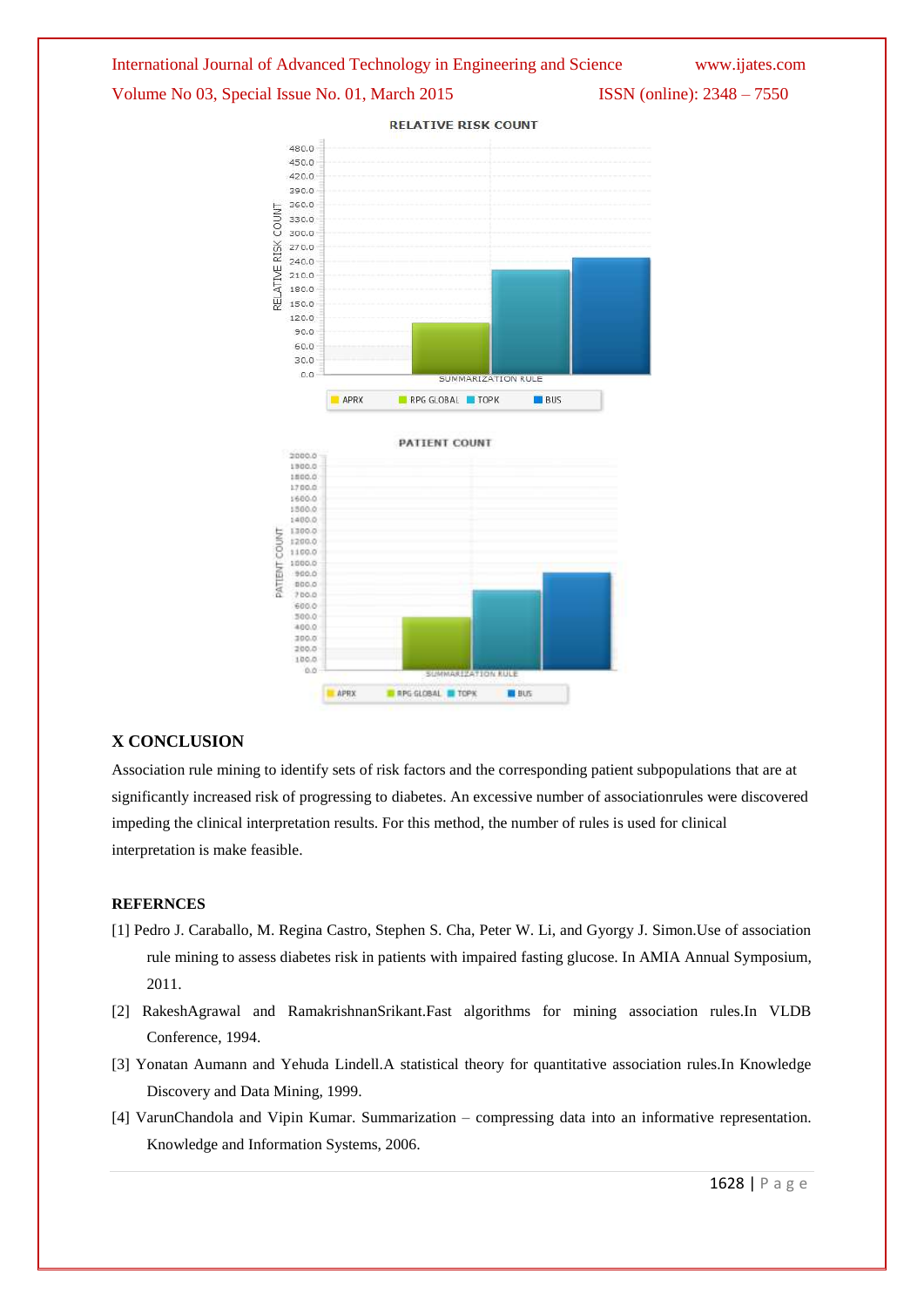



## **X CONCLUSION**

Association rule mining to identify sets of risk factors and the corresponding patient subpopulations that are at significantly increased risk of progressing to diabetes. An excessive number of associationrules were discovered impeding the clinical interpretation results. For this method, the number of rules is used for clinical interpretation is make feasible.

#### **REFERNCES**

- [1] Pedro J. Caraballo, M. Regina Castro, Stephen S. Cha, Peter W. Li, and Gyorgy J. Simon.Use of association rule mining to assess diabetes risk in patients with impaired fasting glucose. In AMIA Annual Symposium, 2011.
- [2] RakeshAgrawal and RamakrishnanSrikant.Fast algorithms for mining association rules.In VLDB Conference, 1994.
- [3] Yonatan Aumann and Yehuda Lindell.A statistical theory for quantitative association rules.In Knowledge Discovery and Data Mining, 1999.
- [4] VarunChandola and Vipin Kumar. Summarization compressing data into an informative representation. Knowledge and Information Systems, 2006.